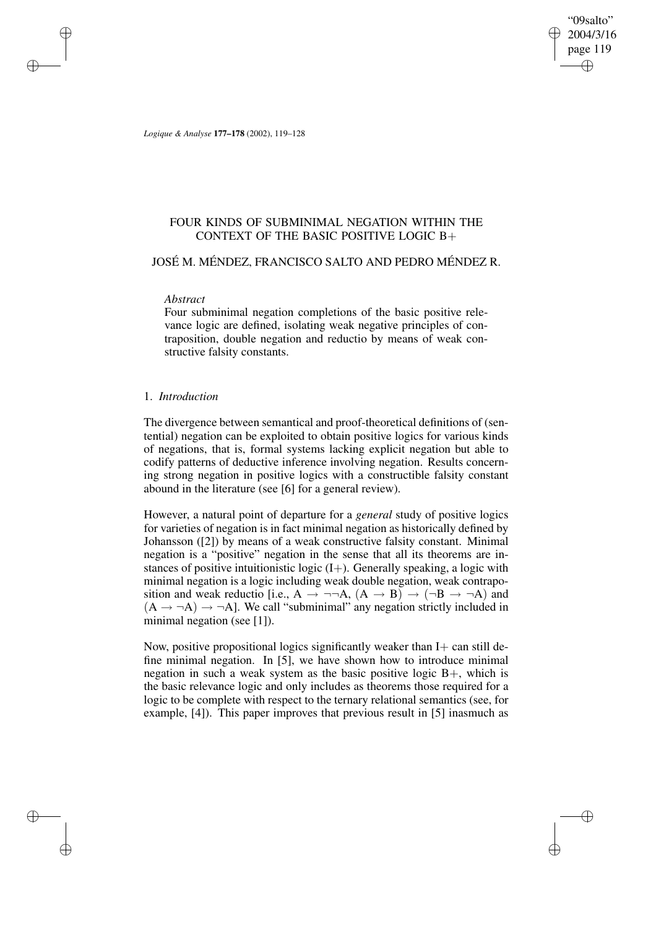"09salto" 2004/3/16 page 119 ✐ ✐

✐

✐

*Logique & Analyse* **177–178** (2002), 119–128

## FOUR KINDS OF SUBMINIMAL NEGATION WITHIN THE CONTEXT OF THE BASIC POSITIVE LOGIC B+

### JOSÉ M. MÉNDEZ, FRANCISCO SALTO AND PEDRO MÉNDEZ R.

#### *Abstract*

✐

✐

✐

✐

Four subminimal negation completions of the basic positive relevance logic are defined, isolating weak negative principles of contraposition, double negation and reductio by means of weak constructive falsity constants.

### 1. *Introduction*

The divergence between semantical and proof-theoretical definitions of (sentential) negation can be exploited to obtain positive logics for various kinds of negations, that is, formal systems lacking explicit negation but able to codify patterns of deductive inference involving negation. Results concerning strong negation in positive logics with a constructible falsity constant abound in the literature (see [6] for a general review).

However, a natural point of departure for a *general* study of positive logics for varieties of negation is in fact minimal negation as historically defined by Johansson ([2]) by means of a weak constructive falsity constant. Minimal negation is a "positive" negation in the sense that all its theorems are instances of positive intuitionistic logic  $(I+)$ . Generally speaking, a logic with minimal negation is a logic including weak double negation, weak contraposition and weak reductio [i.e., A  $\rightarrow \neg\neg A$ ,  $(A \rightarrow B) \rightarrow (\neg B \rightarrow \neg A)$  and  $(A \rightarrow \neg A) \rightarrow \neg A$ ]. We call "subminimal" any negation strictly included in minimal negation (see [1]).

Now, positive propositional logics significantly weaker than  $I+$  can still define minimal negation. In [5], we have shown how to introduce minimal negation in such a weak system as the basic positive logic B+, which is the basic relevance logic and only includes as theorems those required for a logic to be complete with respect to the ternary relational semantics (see, for example, [4]). This paper improves that previous result in [5] inasmuch as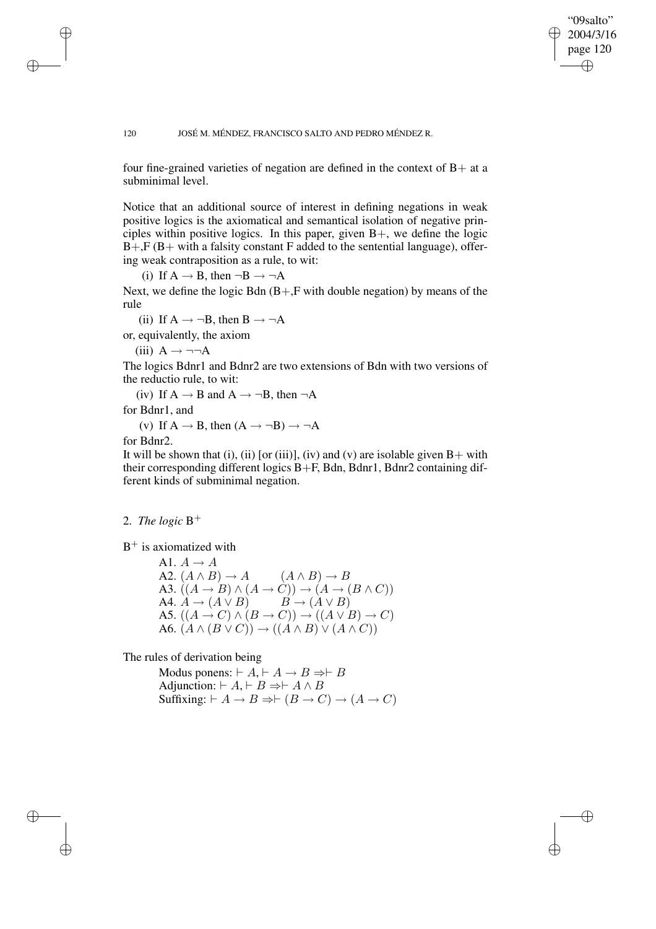#### "09salto" 2004/3/16 page 120 ✐ ✐

✐

✐

#### 120 JOSÉ M. MÉNDEZ, FRANCISCO SALTO AND PEDRO MÉNDEZ R.

four fine-grained varieties of negation are defined in the context of  $B+$  at a subminimal level.

Notice that an additional source of interest in defining negations in weak positive logics is the axiomatical and semantical isolation of negative principles within positive logics. In this paper, given B+, we define the logic  $B+, F (B+$  with a falsity constant F added to the sentential language), offering weak contraposition as a rule, to wit:

(i) If  $A \rightarrow B$ , then  $\neg B \rightarrow \neg A$ 

Next, we define the logic Bdn  $(B+, F$  with double negation) by means of the rule

(ii) If  $A \rightarrow \neg B$ , then  $B \rightarrow \neg A$ 

or, equivalently, the axiom

(iii)  $A \rightarrow \neg\neg A$ 

The logics Bdnr1 and Bdnr2 are two extensions of Bdn with two versions of the reductio rule, to wit:

(iv) If  $A \rightarrow B$  and  $A \rightarrow \neg B$ , then  $\neg A$ 

for Bdnr1, and

(v) If  $A \rightarrow B$ , then  $(A \rightarrow \neg B) \rightarrow \neg A$ 

for Bdnr2.

✐

✐

✐

✐

It will be shown that (i), (ii) [or (iii)], (iv) and (v) are isolable given  $B+$  with their corresponding different logics B+F, Bdn, Bdnr1, Bdnr2 containing different kinds of subminimal negation.

# 2. *The logic* B +

 $B^+$  is axiomatized with

A1.  $A \rightarrow A$ A2.  $(A \wedge B) \rightarrow A$   $(A \wedge B) \rightarrow B$ A3.  $((A \rightarrow B) \land (A \rightarrow C)) \rightarrow (A \rightarrow (B \land C))$ A4.  $\ddot{A} \rightarrow (A \lor B)$   $\qquad \ddot{B} \rightarrow (\dot{A} \lor B)$ A5.  $((A \rightarrow C) \land (B \rightarrow C)) \rightarrow ((A \lor B) \rightarrow C)$ A6.  $(A \wedge (B \vee C)) \rightarrow ((A \wedge B) \vee (A \wedge C))$ 

The rules of derivation being

Modus ponens:  $\vdash A \vdash A \to B \Rightarrow \vdash B$ Adjunction:  $\vdash A \vdash B \Rightarrow \vdash A \land B$ Suffixing:  $\vdash A \rightarrow B \Rightarrow \vdash (B \rightarrow C) \rightarrow (A \rightarrow C)$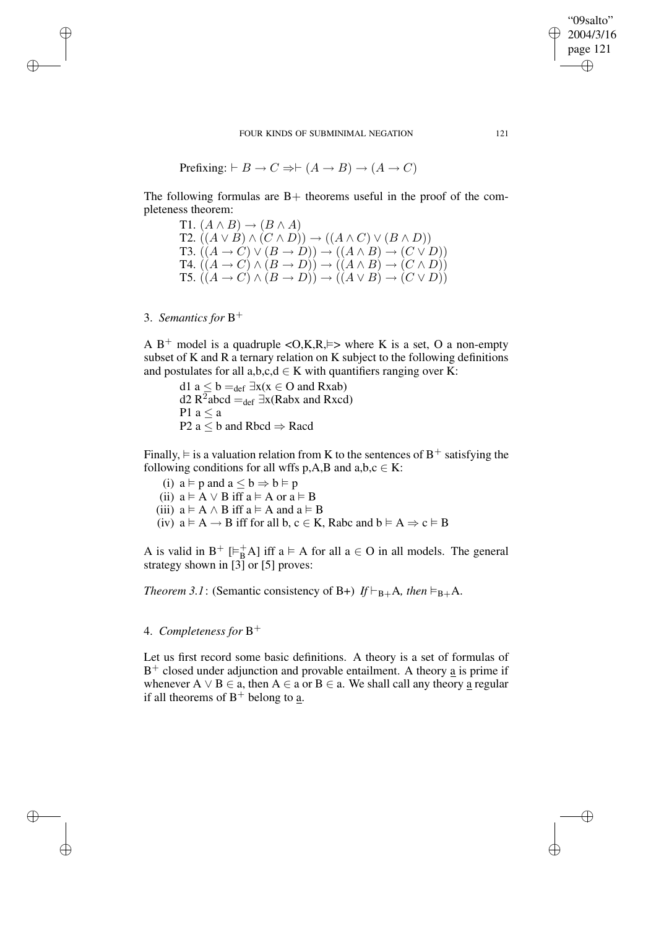FOUR KINDS OF SUBMINIMAL NEGATION 121

$$
Prefixing: \vdash B \to C \Rightarrow \vdash (A \to B) \to (A \to C)
$$

The following formulas are  $B+$  theorems useful in the proof of the completeness theorem:

T1.  $(A \wedge B) \rightarrow (B \wedge A)$ T2.  $((A \lor B) \land (C \land D)) \rightarrow ((A \land C) \lor (B \land D))$ T3.  $((A \rightarrow C) \lor (B \rightarrow D)) \rightarrow ((A \land B) \rightarrow (C \lor D))$ T4.  $((A \rightarrow C) \land (B \rightarrow D)) \rightarrow ((A \land B) \rightarrow (C \land D))$ T5.  $((A \rightarrow C) \land (B \rightarrow D)) \rightarrow ((A \lor B) \rightarrow (C \lor D))$ 

3. *Semantics for* B +

✐

✐

✐

✐

A B<sup>+</sup> model is a quadruple < O, K, R,  $\models$  > where K is a set, O a non-empty subset of K and R a ternary relation on K subject to the following definitions and postulates for all  $a,b,c,d \in K$  with quantifiers ranging over K:

d1 a  $\leq$  b =  $_{def} \exists x(x \in O \text{ and } Rxab)$ d2 R<sup>2</sup>abcd =  $_{def}$  ∃x(Rabx and Rxcd) P1  $a \le a$ P2 a  $\leq$  b and Rbcd  $\Rightarrow$  Racd

Finally,  $\models$  is a valuation relation from K to the sentences of B<sup>+</sup> satisfying the following conditions for all wffs p,A,B and a,b, $c \in K$ :

(i)  $a \models p$  and  $a \leq b \Rightarrow b \models p$ 

(ii)  $a \models A \lor B$  iff  $a \models A$  or  $a \models B$ 

- (iii)  $a \models A \land B$  iff  $a \models A$  and  $a \models B$
- (iv)  $a \models A \rightarrow B$  iff for all b,  $c \in K$ , Rabc and  $b \models A \Rightarrow c \models B$

A is valid in  $B^+$  [ $\models^+_BA$ ] iff  $a \models A$  for all  $a \in O$  in all models. The general strategy shown in  $\begin{bmatrix} 3 \end{bmatrix}$  or  $\begin{bmatrix} 5 \end{bmatrix}$  proves:

*Theorem* 3.1: (Semantic consistency of B+)  $If \vdash_{B+} A$ *, then*  $\models_{B+} A$ *.* 

# 4. *Completeness for* B +

Let us first record some basic definitions. A theory is a set of formulas of  $B<sup>+</sup>$  closed under adjunction and provable entailment. A theory  $\underline{a}$  is prime if whenever A  $\vee$  B  $\in$  a, then A  $\in$  a or B  $\in$  a. We shall call any theory a regular if all theorems of  $B^+$  belong to <u>a</u>.

"09salto" 2004/3/16 page 121

✐

✐

✐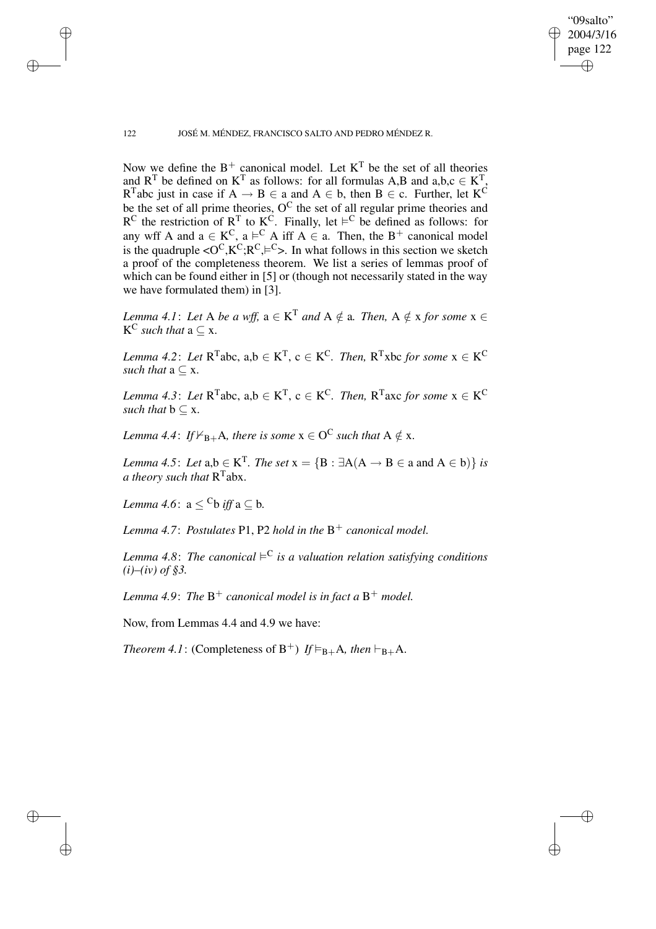$\bigoplus$ 

✐

122 JOSÉ M. MÉNDEZ, FRANCISCO SALTO AND PEDRO MÉNDEZ R.

Now we define the  $B^+$  canonical model. Let  $K^T$  be the set of all theories and  $R^T$  be defined on  $K^T$  as follows: for all formulas A,B and a,b,c  $\in K^T$ , R<sup>T</sup>abc just in case if  $A \rightarrow B \in a$  and  $A \in b$ , then  $B \in c$ . Further, let K<sup>C</sup> be the set of all prime theories,  $O^C$  the set of all regular prime theories and  $R^C$  the restriction of  $R^T$  to  $K^C$ . Finally, let  $\models^C$  be defined as follows: for any wff A and  $a \in K^C$ ,  $a \vDash^C A$  iff  $A \in a$ . Then, the B<sup>+</sup> canonical model is the quadruple  $\langle O^C, K^C, R^C, \models^C \rangle$ . In what follows in this section we sketch a proof of the completeness theorem. We list a series of lemmas proof of which can be found either in [5] or (though not necessarily stated in the way we have formulated them) in [3].

*Lemma* 4.1: Let A be a wff,  $a \in K<sup>T</sup>$  and  $A \notin a$ . Then,  $A \notin x$  for some  $x \in A$  $K^C$  *such that*  $a \subseteq x$ .

*Lemma* 4.2: *Let*  $R^{T}$ abc,  $a,b \in K^{T}$ ,  $c \in K^{C}$ . *Then*,  $R^{T}$ xbc *for some*  $x \in K^{C}$ *such that*  $a \subset x$ .

*Lemma* 4.3: Let  $R^{T}$ abc, a,b  $\in K^{T}$ , c  $\in K^{C}$ . Then,  $R^{T}$ axc for some  $x \in K^{C}$ *such that*  $b \subset x$ .

Lemma 4.4: If  $\vDash_{\mathbf{B}+}\mathbf{A}$ *, there is some*  $\mathbf{x}\in\mathbf{O}^\mathbf{C}$  *such that*  $\mathbf{A}\notin\mathbf{x}$ *.* 

*Lemma* 4.5: *Let*  $a,b \in K^T$ . *The set*  $x = {B : \exists A(A \rightarrow B \in a \text{ and } A \in b)}$  *is a theory such that* R T abx.

*Lemma* 4.6:  $a < {}^{C}b$  *iff*  $a \subset b$ .

✐

✐

✐

✐

*Lemma 4.7*: *Postulates* P1, P2 *hold in the* B <sup>+</sup> *canonical model.*

*Lemma* 4.8: The canonical  $\models^C$  is a valuation relation satisfying conditions *(i)–(iv) of §3.*

*Lemma 4.9*: *The* B <sup>+</sup> *canonical model is in fact a* B <sup>+</sup> *model.*

Now, from Lemmas 4.4 and 4.9 we have:

*Theorem* 4.1: (Completeness of  $B^+$ ) *If*  $\vDash_{B+} A$ *, then*  $\vdash_{B+} A$ *.*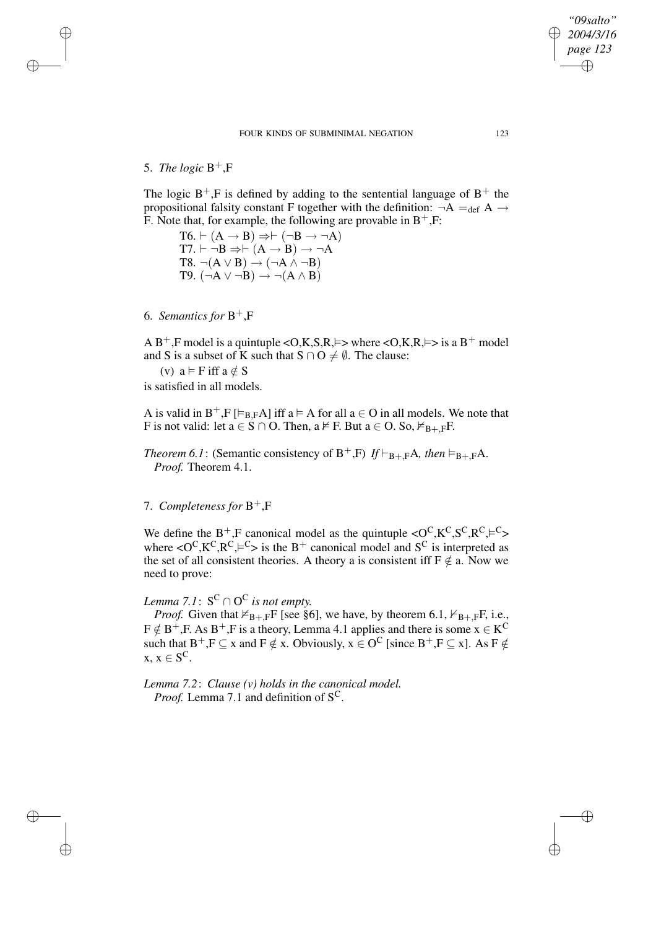✐

✐

✐

✐

The logic  $B^+$ , F is defined by adding to the sentential language of  $B^+$  the propositional falsity constant F together with the definition:  $\neg A =_{def} A \rightarrow$ F. Note that, for example, the following are provable in  $B^+, F$ .

 $T6. \vdash (A \rightarrow B) \Rightarrow \vdash (\neg B \rightarrow \neg A)$  $T7. \vdash \neg B \Rightarrow \vdash (A \rightarrow B) \rightarrow \neg A$  $T8. \neg(A \lor B) \rightarrow (\neg A \land \neg B)$ T9.  $(\neg A \lor \neg B) \rightarrow \neg (A \land B)$ 

6. *Semantics for* B <sup>+</sup>,F

A B<sup>+</sup>,F model is a quintuple < O, K, S, R,  $\models$  > where < O, K, R,  $\models$  > is a B<sup>+</sup> model and S is a subset of K such that  $S \cap O \neq \emptyset$ . The clause:

(v) 
$$
a \vDash F
$$
 iff  $a \notin S$ 

is satisfied in all models.

A is valid in  $B^+$ ,F  $[\varepsilon_{B,F}A]$  iff  $a \varepsilon A$  for all  $a \in O$  in all models. We note that F is not valid: let  $a \in S \cap O$ . Then,  $a \nvDash F$ . But  $a \in O$ . So,  $\nvdash_{B+,F}F$ .

*Theorem* 6.1: (Semantic consistency of  $B^+$ ,F) *If*  $\models_{B^+,F}A$ *, then*  $\models_{B^+,F}A$ *. Proof.* Theorem 4.1.

7. *Completeness for* B <sup>+</sup>,F

We define the B<sup>+</sup>,F canonical model as the quintuple  $\langle O^C, K^C, S^C, R^C, \models^C \rangle$ where  $\langle O^C, K^C, R^C \rangle = C$  is the B<sup>+</sup> canonical model and S<sup>C</sup> is interpreted as the set of all consistent theories. A theory a is consistent iff  $F \notin a$ . Now we need to prove:

Lemma 7.1:  $S^C \cap O^C$  is not empty.

*Proof.* Given that  $\nvdash_{B+,F}$ F [see §6], we have, by theorem 6.1,  $\nvdash_{B+,F}$ F, i.e.,  $F \notin B^+, F$ . As  $B^+, F$  is a theory, Lemma 4.1 applies and there is some  $x \in K^C$ such that  $B^+, F \subseteq x$  and  $F \notin x$ . Obviously,  $x \in O^C$  [since  $B^+, F \subseteq x$ ]. As  $F \notin$  $x, x \in S^C$ .

*Lemma 7.2*: *Clause (v) holds in the canonical model. Proof.* Lemma 7.1 and definition of S<sup>C</sup>.

*"09salto" 2004/3/16 page 123*

✐

✐

✐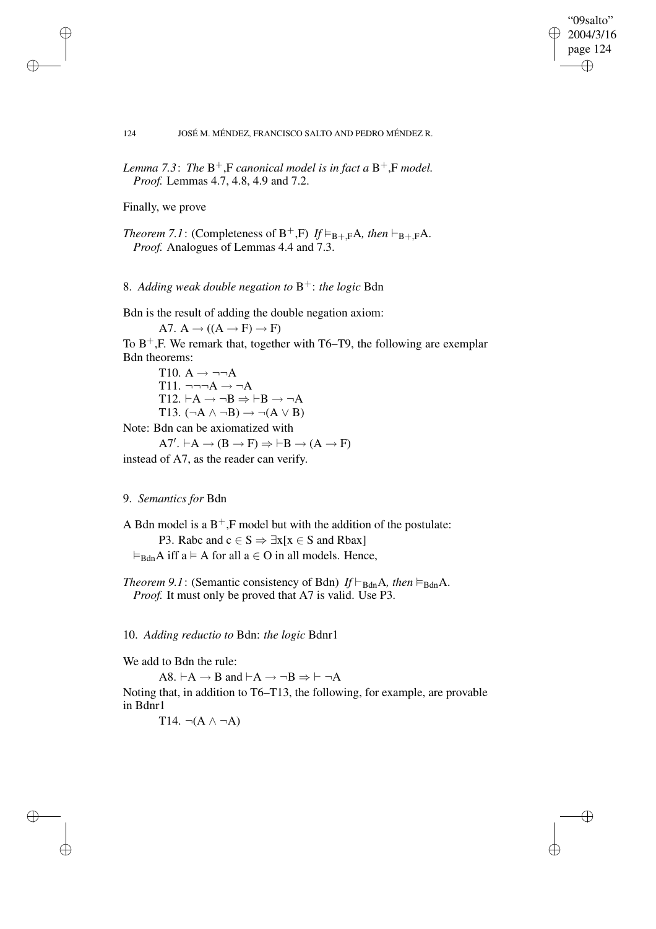"09salto" 2004/3/16 page 124 ✐ ✐

✐

✐

#### 124 JOSÉ M. MÉNDEZ, FRANCISCO SALTO AND PEDRO MÉNDEZ R.

*Lemma 7.3*: *The* B <sup>+</sup>,F *canonical model is in fact a* B <sup>+</sup>,F *model. Proof.* Lemmas 4.7, 4.8, 4.9 and 7.2.

Finally, we prove

✐

✐

✐

✐

*Theorem* 7.1: (Completeness of  $B^+$ ,F) *If*  $\models_{B^+,F} A$ *, then*  $\models_{B^+,F} A$ *. Proof.* Analogues of Lemmas 4.4 and 7.3.

8. *Adding weak double negation to* B <sup>+</sup>: *the logic* Bdn

Bdn is the result of adding the double negation axiom:

A7.  $A \rightarrow ((A \rightarrow F) \rightarrow F)$ 

To  $B^+$ , F. We remark that, together with T6–T9, the following are exemplar Bdn theorems:

T10.  $A \rightarrow \neg\neg A$  $T11. \neg\neg\neg A \rightarrow \neg A$ T12.  $\vdash A \rightarrow \neg B \Rightarrow \vdash B \rightarrow \neg A$ T13.  $(\neg A \land \neg B) \rightarrow \neg(A \lor B)$ 

Note: Bdn can be axiomatized with

 $A7'. \vdash A \rightarrow (B \rightarrow F) \Rightarrow \vdash B \rightarrow (A \rightarrow F)$ instead of A7, as the reader can verify.

#### 9. *Semantics for* Bdn

A Bdn model is a  $B^+$ , F model but with the addition of the postulate: P3. Rabc and  $c \in S \Rightarrow \exists x[x \in S \text{ and R}$ bax]  $\vDash_{\text{Bdn}} A$  iff a  $\vDash A$  for all a  $\in O$  in all models. Hence,

*Theorem* 9.1: (Semantic consistency of Bdn)  $If \vdash_{\text{Bdn}} A$ , *then*  $\models_{\text{Bdn}} A$ . *Proof.* It must only be proved that A7 is valid. Use P3.

10. *Adding reductio to* Bdn: *the logic* Bdnr1

We add to Bdn the rule:

A8.  $\vdash A \rightarrow B$  and  $\vdash A \rightarrow \neg B \Rightarrow \vdash \neg A$ 

Noting that, in addition to T6–T13, the following, for example, are provable in Bdnr1

T<sub>14</sub>.  $\neg(A \land \neg A)$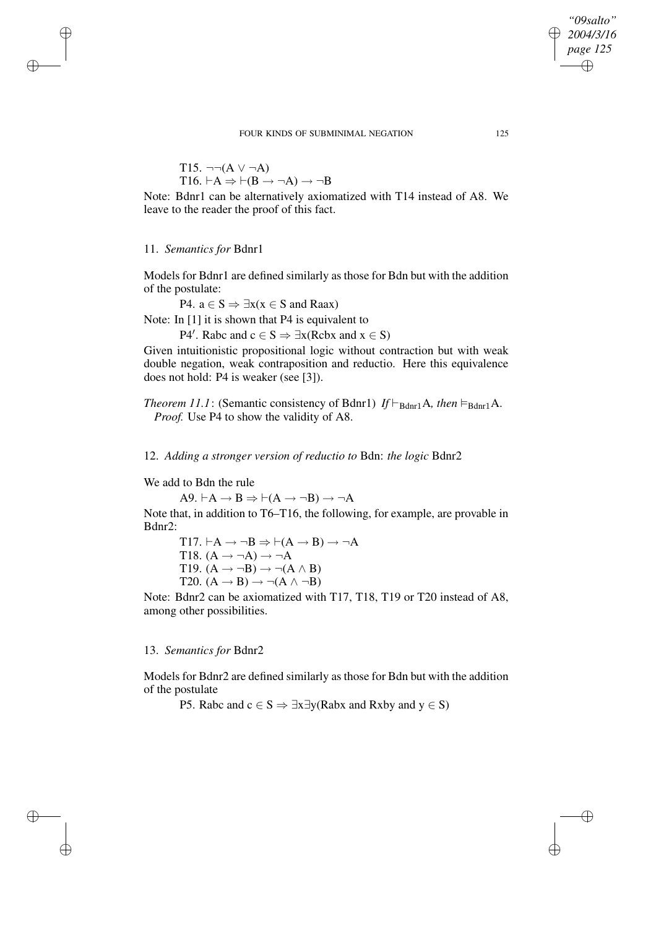FOUR KINDS OF SUBMINIMAL NEGATION 125

$$
T15. \neg\neg(A \lor \neg A)
$$
  

$$
T16. \vdash A \Rightarrow \vdash (B \rightarrow \neg A) \rightarrow \neg B
$$

Note: Bdnr1 can be alternatively axiomatized with T14 instead of A8. We leave to the reader the proof of this fact.

### 11. *Semantics for* Bdnr1

✐

✐

✐

✐

Models for Bdnr1 are defined similarly as those for Bdn but with the addition of the postulate:

P4.  $a \in S \Rightarrow \exists x(x \in S \text{ and Raax})$ 

Note: In [1] it is shown that P4 is equivalent to

P4'. Rabc and  $c \in S \Rightarrow \exists x (Rcbx \text{ and } x \in S)$ 

Given intuitionistic propositional logic without contraction but with weak double negation, weak contraposition and reductio. Here this equivalence does not hold: P4 is weaker (see [3]).

*Theorem 11.1*: (Semantic consistency of Bdnr1) *If*  $\vdash_{\text{Bdnr1}} A$ *, then*  $\vdash_{\text{Bdnr1}} A$ *. Proof.* Use P4 to show the validity of A8.

12. *Adding a stronger version of reductio to* Bdn: *the logic* Bdnr2

We add to Bdn the rule

 $A9. \vdash A \rightarrow B \Rightarrow \vdash (A \rightarrow \neg B) \rightarrow \neg A$ 

Note that, in addition to T6–T16, the following, for example, are provable in Bdnr2:

 $T17. \vdash A \rightarrow \neg B \Rightarrow \vdash (A \rightarrow B) \rightarrow \neg A$ T18.  $(A \rightarrow \neg A) \rightarrow \neg A$ T19.  $(A \rightarrow \neg B) \rightarrow \neg (A \land B)$ T20.  $(A \rightarrow B) \rightarrow \neg(A \land \neg B)$ 

Note: Bdnr2 can be axiomatized with T17, T18, T19 or T20 instead of A8, among other possibilities.

### 13. *Semantics for* Bdnr2

Models for Bdnr2 are defined similarly as those for Bdn but with the addition of the postulate

P5. Rabc and  $c \in S \Rightarrow \exists x \exists y$ (Rabx and Rxby and  $y \in S$ )

*"09salto" 2004/3/16* ✐ *page 125*

✐

✐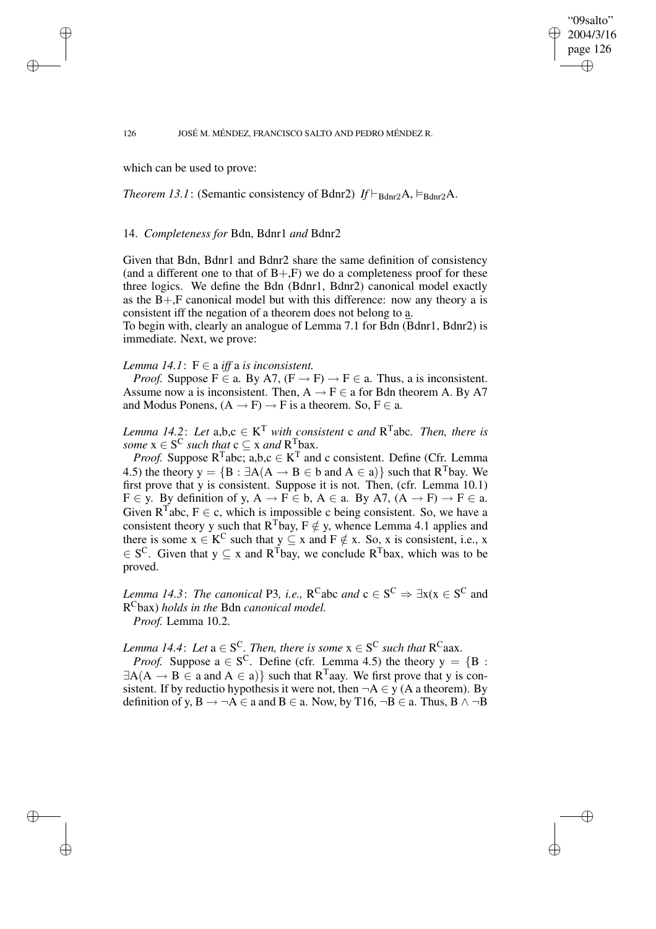### "09salto" 2004/3/16 page 126 ✐ ✐

✐

✐

#### 126 JOSÉ M. MÉNDEZ, FRANCISCO SALTO AND PEDRO MÉNDEZ R.

which can be used to prove:

✐

✐

✐

✐

*Theorem 13.1*: (Semantic consistency of Bdnr2)  $If \vdash_{\text{Bdnr2}} A, \vDash_{\text{Bdnr2}} A$ .

#### 14. *Completeness for* Bdn, Bdnr1 *and* Bdnr2

Given that Bdn, Bdnr1 and Bdnr2 share the same definition of consistency (and a different one to that of  $B+, F$ ) we do a completeness proof for these three logics. We define the Bdn (Bdnr1, Bdnr2) canonical model exactly as the  $B + F$  canonical model but with this difference: now any theory a is consistent iff the negation of a theorem does not belong to a.

To begin with, clearly an analogue of Lemma 7.1 for Bdn (Bdnr1, Bdnr2) is immediate. Next, we prove:

#### *Lemma*  $14.1$ :  $F \in a$  *iff* a *is inconsistent.*

*Proof.* Suppose  $F \in a$ . By A7,  $(F \to F) \to F \in a$ . Thus, a is inconsistent. Assume now a is inconsistent. Then,  $A \rightarrow F \in$  a for Bdn theorem A. By A7 and Modus Ponens,  $(A \rightarrow F) \rightarrow F$  is a theorem. So,  $F \in a$ .

*Lemma* 14.2: Let  $a,b,c \in K^T$  *with consistent* c *and*  $R^T$ abc. *Then, there is some*  $x \in S^C$  *such that*  $c \subseteq x$  *and*  $R^T$ bax.

*Proof.* Suppose  $R^{T}$ abc; a,b,c  $\in K^{T}$  and c consistent. Define (Cfr. Lemma 4.5) the theory  $y = {B : \exists A(A \rightarrow B \in b \text{ and } A \in a)}$  such that  $R^T$ bay. We first prove that y is consistent. Suppose it is not. Then, (cfr. Lemma 10.1)  $F \in y$ . By definition of y,  $A \to F \in b$ ,  $A \in a$ . By A7,  $(A \to F) \to F \in a$ . Given  $R^{T}$ abc,  $F \in c$ , which is impossible c being consistent. So, we have a consistent theory y such that  $R^{T}$ bay,  $F \notin y$ , whence Lemma 4.1 applies and there is some  $x \in K^C$  such that  $y \subseteq x$  and  $F \notin x$ . So, x is consistent, i.e., x  $\in S^C$ . Given that  $y \subseteq x$  and  $R^T$ bay, we conclude  $R^T$ bax, which was to be proved.

*Lemma* 14.3: *The canonical* P3, *i.e.*,  $R^C$ abc *and*  $c \in S^C \Rightarrow \exists x (x \in S^C \text{ and }$ R <sup>C</sup>bax) *holds in the* Bdn *canonical model. Proof.* Lemma 10.2.

*Lemma* 14.4: Let  $a \in S^C$ . Then, there is some  $x \in S^C$  such that  $R^C$ aax.

*Proof.* Suppose  $a \in S^C$ . Define (cfr. Lemma 4.5) the theory  $y = \{B :$  $\exists A(A \rightarrow B \in a \text{ and } A \in a)$  such that  $R^{T}$ aay. We first prove that y is consistent. If by reductio hypothesis it were not, then  $\neg A \in y$  (A a theorem). By definition of y,  $B \rightarrow \neg A \in$  a and  $B \in$  a. Now, by T16,  $\neg B \in$  a. Thus,  $B \land \neg B$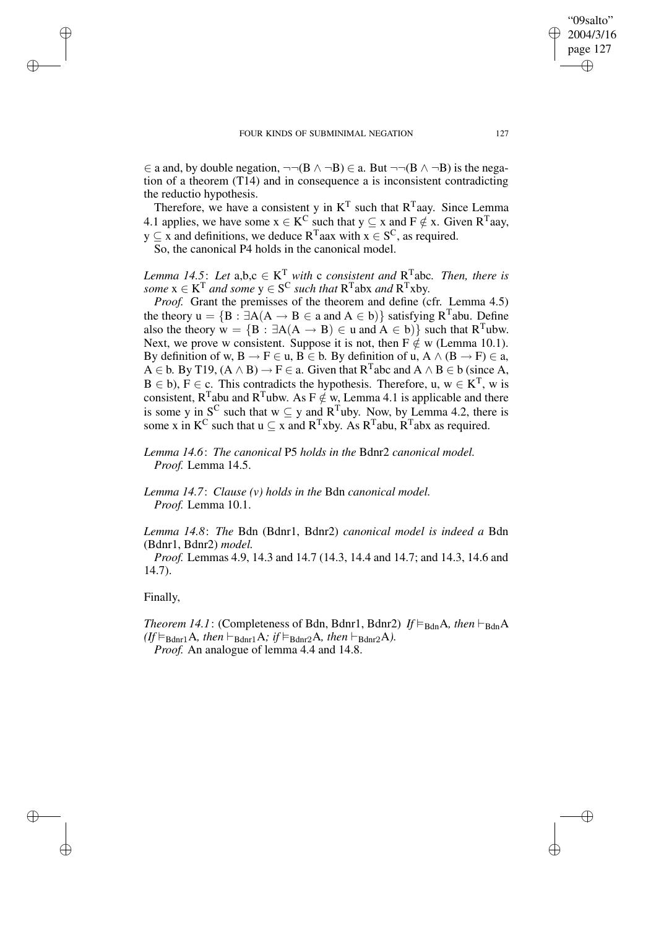$\in$  a and, by double negation,  $\neg\neg(B \land \neg B) \in$  a. But  $\neg\neg(B \land \neg B)$  is the negation of a theorem (T14) and in consequence a is inconsistent contradicting the reductio hypothesis.

Therefore, we have a consistent y in  $K<sup>T</sup>$  such that  $R<sup>T</sup>$  aay. Since Lemma 4.1 applies, we have some  $x \in K^C$  such that  $y \subseteq x$  and  $F \notin x$ . Given  $R^T$ aay,  $y \subseteq x$  and definitions, we deduce  $R^{T}$ aax with  $x \in S^{C}$ , as required.

So, the canonical P4 holds in the canonical model.

*Lemma* 14.5: Let  $a,b,c \in K^T$  with c consistent and  $R^T$ abc. Then, there is  $some\ x\in K^T$  and some  $y\in S^C$  such that  $R^T$ abx and  $R^T x$ by.

*Proof.* Grant the premisses of the theorem and define (cfr. Lemma 4.5) the theory  $u = {B : \exists A(A \rightarrow B \in a \text{ and } A \in b)}$  satisfying  $R^T$ abu. Define also the theory  $w = \{B : \exists A(A \rightarrow B) \in u \text{ and } A \in b\}$  such that  $R^{T}$ ubw. Next, we prove w consistent. Suppose it is not, then  $F \notin w$  (Lemma 10.1). By definition of w,  $B \to F \in \mathfrak{u}$ ,  $B \in \mathfrak{b}$ . By definition of  $\mathfrak{u}$ ,  $A \wedge (B \to F) \in \mathfrak{a}$ ,  $A \in b$ . By T19,  $(A \wedge B) \rightarrow F \in a$ . Given that  $R^T$ abc and  $A \wedge B \in b$  (since A,  $B \in b$ ),  $F \in c$ . This contradicts the hypothesis. Therefore, u,  $w \in K^{T}$ , w is consistent, R<sup>T</sup>abu and R<sup>T</sup>ubw. As F  $\notin$  w, Lemma 4.1 is applicable and there is some y in S<sup>C</sup> such that  $w \subseteq y$  and R<sup>T</sup>uby. Now, by Lemma 4.2, there is some x in  $K^C$  such that  $u \subseteq x$  and  $R^T x$ by. As  $R^T a$ bu,  $R^T a$ bx as required.

*Lemma 14.6*: *The canonical* P5 *holds in the* Bdnr2 *canonical model. Proof.* Lemma 14.5.

*Lemma 14.7*: *Clause (v) holds in the* Bdn *canonical model. Proof.* Lemma 10.1.

*Lemma 14.8*: *The* Bdn (Bdnr1, Bdnr2) *canonical model is indeed a* Bdn (Bdnr1, Bdnr2) *model.*

*Proof.* Lemmas 4.9, 14.3 and 14.7 (14.3, 14.4 and 14.7; and 14.3, 14.6 and 14.7).

## Finally,

✐

✐

✐

✐

*Theorem 14.1*: (Completeness of Bdn, Bdnr1, Bdnr2)  $If \vDash_{\text{Bdn}} A$ , then  $\vdash_{\text{Bdn}} A$  $(f \vDash_{\text{Bdnr1}} A, \text{ then } \vDash_{\text{Bdnr1}} A; \text{ if } \vDash_{\text{Bdnr2}} A, \text{ then } \vDash_{\text{Bdnr2}} A).$ *Proof.* An analogue of lemma 4.4 and 14.8.

"09salto" 2004/3/16 page 127

✐

✐

✐